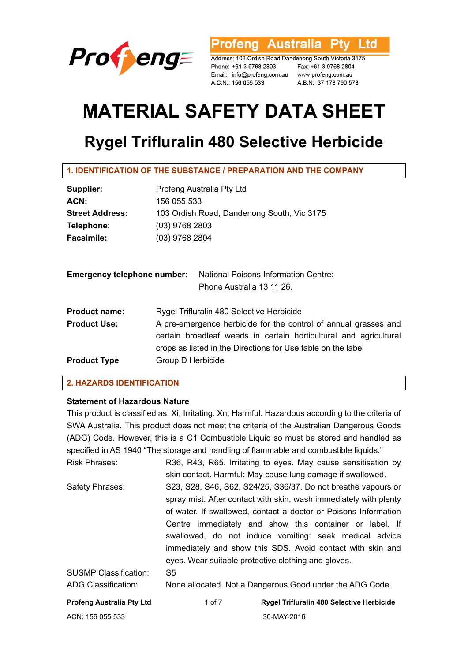

**Australia** l td rofena

Address: 103 Ordish Road Dandenong South Victoria 3175 Phone: +61 3 9768 2803 Email: info@profeng.com.au www.profeng.com.au A.C.N.: 156 055 533

Fax: +61 3 9768 2804 A.B.N.: 37 178 790 573

# **MATERIAL SAFETY DATA SHEET**

# **Rygel Trifluralin 480 Selective Herbicide**

**1. IDENTIFICATION OF THE SUBSTANCE / PREPARATION AND THE COMPANY** 

| Supplier:              | Profeng Australia Pty Ltd                  |
|------------------------|--------------------------------------------|
| ACN:                   | 156 055 533                                |
| <b>Street Address:</b> | 103 Ordish Road, Dandenong South, Vic 3175 |
| Telephone:             | $(03)$ 9768 2803                           |
| <b>Facsimile:</b>      | $(03)$ 9768 2804                           |

| <b>Emergency telephone number:</b> |                                                                                                                                                                                                      | <b>National Poisons Information Centre:</b><br>Phone Australia 13 11 26. |  |
|------------------------------------|------------------------------------------------------------------------------------------------------------------------------------------------------------------------------------------------------|--------------------------------------------------------------------------|--|
| <b>Product name:</b>               |                                                                                                                                                                                                      | Rygel Trifluralin 480 Selective Herbicide                                |  |
| <b>Product Use:</b>                | A pre-emergence herbicide for the control of annual grasses and<br>certain broadleaf weeds in certain horticultural and agricultural<br>crops as listed in the Directions for Use table on the label |                                                                          |  |
| <b>Product Type</b>                | Group D Herbicide                                                                                                                                                                                    |                                                                          |  |

# **2. HAZARDS IDENTIFICATION**

# **Statement of Hazardous Nature**

This product is classified as: Xi, Irritating. Xn, Harmful. Hazardous according to the criteria of SWA Australia. This product does not meet the criteria of the Australian Dangerous Goods (ADG) Code. However, this is a C1 Combustible Liquid so must be stored and handled as specified in AS 1940 "The storage and handling of flammable and combustible liquids."

Risk Phrases: R36, R43, R65. Irritating to eyes. May cause sensitisation by skin contact. Harmful: May cause lung damage if swallowed. Safety Phrases: S23, S28, S46, S62, S24/25, S36/37. Do not breathe vapours or spray mist. After contact with skin, wash immediately with plenty of water. If swallowed, contact a doctor or Poisons Information Centre immediately and show this container or label. If swallowed, do not induce vomiting: seek medical advice immediately and show this SDS. Avoid contact with skin and eyes. Wear suitable protective clothing and gloves. SUSMP Classification: S5 ADG Classification: None allocated. Not a Dangerous Good under the ADG Code.

| Profeng Australia Pty Ltd | 1 of $7$ | <b>Rygel Trifluralin 480 Selective Herbicide</b> |
|---------------------------|----------|--------------------------------------------------|
| ACN: 156 055 533          |          | 30-MAY-2016                                      |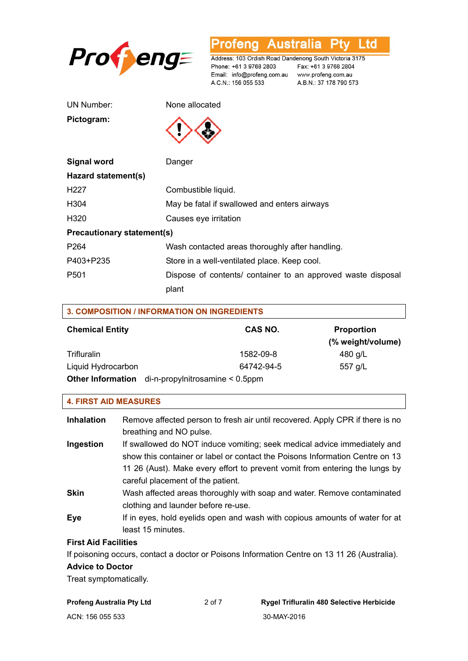

Australia Profeng Ptv Ltd

Address: 103 Ordish Road Dandenong South Victoria 3175 Phone: +61 3 9768 2803 Email: info@profeng.com.au www.profeng.com.au A.C.N.: 156 055 533

Fax: +61 3 9768 2804 A.B.N.: 37 178 790 573

UN Number: None allocated

**Pictogram:** 



| Signal word                       | Danger                                                       |  |
|-----------------------------------|--------------------------------------------------------------|--|
| Hazard statement(s)               |                                                              |  |
| H <sub>227</sub>                  | Combustible liquid.                                          |  |
| H304                              | May be fatal if swallowed and enters airways                 |  |
| H320                              | Causes eye irritation                                        |  |
| <b>Precautionary statement(s)</b> |                                                              |  |
| P <sub>264</sub>                  | Wash contacted areas thoroughly after handling.              |  |
| P403+P235                         | Store in a well-ventilated place. Keep cool.                 |  |
| P <sub>501</sub>                  | Dispose of contents/ container to an approved waste disposal |  |
|                                   | plant                                                        |  |

| <b>3. COMPOSITION / INFORMATION ON INGREDIENTS</b> |                                                   |  |                                        |
|----------------------------------------------------|---------------------------------------------------|--|----------------------------------------|
| <b>Chemical Entity</b>                             | CAS NO.                                           |  | <b>Proportion</b><br>(% weight/volume) |
| Trifluralin                                        | 1582-09-8                                         |  | 480 g/L                                |
| Liquid Hydrocarbon                                 | 64742-94-5                                        |  | 557 g/L                                |
|                                                    | Other Information di-n-propylnitrosamine < 0.5ppm |  |                                        |

#### **4. FIRST AID MEASURES**

| <b>Inhalation</b>           | Remove affected person to fresh air until recovered. Apply CPR if there is no<br>breathing and NO pulse.                                                                                                                                                                     |
|-----------------------------|------------------------------------------------------------------------------------------------------------------------------------------------------------------------------------------------------------------------------------------------------------------------------|
| Ingestion                   | If swallowed do NOT induce vomiting; seek medical advice immediately and<br>show this container or label or contact the Poisons Information Centre on 13<br>11 26 (Aust). Make every effort to prevent vomit from entering the lungs by<br>careful placement of the patient. |
| <b>Skin</b>                 | Wash affected areas thoroughly with soap and water. Remove contaminated<br>clothing and launder before re-use.                                                                                                                                                               |
| Eye                         | If in eyes, hold eyelids open and wash with copious amounts of water for at<br>least 15 minutes.                                                                                                                                                                             |
| <b>First Aid Facilities</b> |                                                                                                                                                                                                                                                                              |
|                             | $\blacksquare$                                                                                                                                                                                                                                                               |

If poisoning occurs, contact a doctor or Poisons Information Centre on 13 11 26 (Australia).

#### **Advice to Doctor**

Treat symptomatically.

| <b>Profeng Australia Pty Ltd</b> | 2 of 7 | <b>Rygel Trifluralin 480 Selective Herbicide</b> |
|----------------------------------|--------|--------------------------------------------------|
| ACN: 156 055 533                 |        | 30-MAY-2016                                      |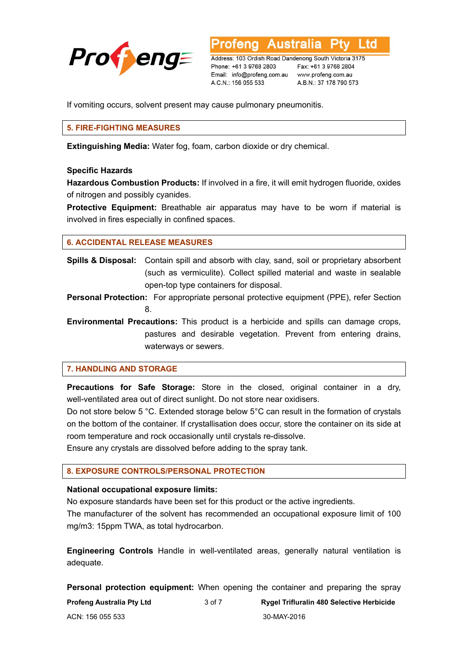

**Australia** L to

Address: 103 Ordish Road Dandenong South Victoria 3175 Phone: +61 3 9768 2803 Email: info@profeng.com.au A.C.N.: 156 055 533

Fax: +61 3 9768 2804 www.profeng.com.au A.B.N.: 37 178 790 573

If vomiting occurs, solvent present may cause pulmonary pneumonitis.

# **5. FIRE-FIGHTING MEASURES**

**Extinguishing Media:** Water fog, foam, carbon dioxide or dry chemical.

#### **Specific Hazards**

**Hazardous Combustion Products:** If involved in a fire, it will emit hydrogen fluoride, oxides of nitrogen and possibly cyanides.

**Protective Equipment:** Breathable air apparatus may have to be worn if material is involved in fires especially in confined spaces.

# **6. ACCIDENTAL RELEASE MEASURES**

**Spills & Disposal:** Contain spill and absorb with clay, sand, soil or proprietary absorbent (such as vermiculite). Collect spilled material and waste in sealable open-top type containers for disposal.

**Personal Protection:** For appropriate personal protective equipment (PPE), refer Section 8.

**Environmental Precautions:** This product is a herbicide and spills can damage crops, pastures and desirable vegetation. Prevent from entering drains, waterways or sewers.

# **7. HANDLING AND STORAGE**

**Precautions for Safe Storage:** Store in the closed, original container in a dry, well-ventilated area out of direct sunlight. Do not store near oxidisers.

Do not store below 5 °C. Extended storage below 5°C can result in the formation of crystals on the bottom of the container. If crystallisation does occur, store the container on its side at room temperature and rock occasionally until crystals re-dissolve.

Ensure any crystals are dissolved before adding to the spray tank.

# **8. EXPOSURE CONTROLS/PERSONAL PROTECTION**

#### **National occupational exposure limits:**

No exposure standards have been set for this product or the active ingredients.

The manufacturer of the solvent has recommended an occupational exposure limit of 100 mg/m3: 15ppm TWA, as total hydrocarbon.

**Engineering Controls** Handle in well-ventilated areas, generally natural ventilation is adequate.

**Personal protection equipment:** When opening the container and preparing the spray

| Profeng Australia Pty Ltd | 3 of 7 | <b>Rygel Trifluralin 480 Selective Herbicide</b> |
|---------------------------|--------|--------------------------------------------------|
| ACN: 156 055 533          |        | 30-MAY-2016                                      |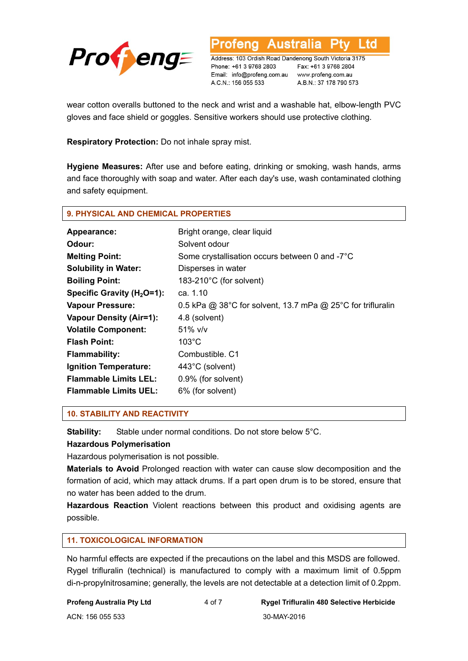

Address: 103 Ordish Road Dandenong South Victoria 3175 Phone: +61 3 9768 2803 Email: info@profeng.com.au A.C.N.: 156 055 533

**Australia** 

Fax: +61 3 9768 2804 www.profeng.com.au A.B.N.: 37 178 790 573

L to

wear cotton overalls buttoned to the neck and wrist and a washable hat, elbow-length PVC gloves and face shield or goggles. Sensitive workers should use protective clothing.

ofena

**Respiratory Protection:** Do not inhale spray mist.

**Hygiene Measures:** After use and before eating, drinking or smoking, wash hands, arms and face thoroughly with soap and water. After each day's use, wash contaminated clothing and safety equipment.

#### **9. PHYSICAL AND CHEMICAL PROPERTIES**

| Appearance:                    | Bright orange, clear liquid                                 |
|--------------------------------|-------------------------------------------------------------|
| Odour:                         | Solvent odour                                               |
| <b>Melting Point:</b>          | Some crystallisation occurs between 0 and -7°C              |
| <b>Solubility in Water:</b>    | Disperses in water                                          |
| <b>Boiling Point:</b>          | 183-210 $^{\circ}$ C (for solvent)                          |
| Specific Gravity ( $H_2$ O=1): | ca. 1.10                                                    |
| <b>Vapour Pressure:</b>        | 0.5 kPa @ 38°C for solvent, 13.7 mPa @ 25°C for trifluralin |
| <b>Vapour Density (Air=1):</b> | 4.8 (solvent)                                               |
| <b>Volatile Component:</b>     | $51\%$ v/v                                                  |
| <b>Flash Point:</b>            | $103^{\circ}$ C                                             |
| <b>Flammability:</b>           | Combustible, C1                                             |
| <b>Ignition Temperature:</b>   | 443°C (solvent)                                             |
| <b>Flammable Limits LEL:</b>   | 0.9% (for solvent)                                          |
| <b>Flammable Limits UEL:</b>   | 6% (for solvent)                                            |

#### **10. STABILITY AND REACTIVITY**

**Stability:** Stable under normal conditions. Do not store below 5°C.

#### **Hazardous Polymerisation**

Hazardous polymerisation is not possible.

**Materials to Avoid** Prolonged reaction with water can cause slow decomposition and the formation of acid, which may attack drums. If a part open drum is to be stored, ensure that no water has been added to the drum.

**Hazardous Reaction** Violent reactions between this product and oxidising agents are possible.

# **11. TOXICOLOGICAL INFORMATION**

No harmful effects are expected if the precautions on the label and this MSDS are followed. Rygel trifluralin (technical) is manufactured to comply with a maximum limit of 0.5ppm di-n-propylnitrosamine; generally, the levels are not detectable at a detection limit of 0.2ppm.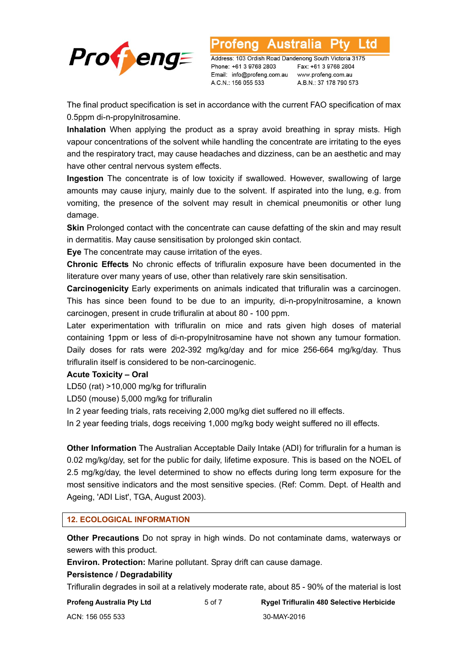

Address: 103 Ordish Road Dandenong South Victoria 3175 Phone: +61 3 9768 2803 Email: info@profeng.com.au A.C.N.: 156 055 533

Australia

Fax: +61 3 9768 2804 www.profeng.com.au A.B.N.: 37 178 790 573

L TG

The final product specification is set in accordance with the current FAO specification of max 0.5ppm di-n-propylnitrosamine.

**Inhalation** When applying the product as a spray avoid breathing in spray mists. High vapour concentrations of the solvent while handling the concentrate are irritating to the eyes and the respiratory tract, may cause headaches and dizziness, can be an aesthetic and may have other central nervous system effects.

**Ingestion** The concentrate is of low toxicity if swallowed. However, swallowing of large amounts may cause injury, mainly due to the solvent. If aspirated into the lung, e.g. from vomiting, the presence of the solvent may result in chemical pneumonitis or other lung damage.

**Skin** Prolonged contact with the concentrate can cause defatting of the skin and may result in dermatitis. May cause sensitisation by prolonged skin contact.

**Eye** The concentrate may cause irritation of the eyes.

**Chronic Effects** No chronic effects of trifluralin exposure have been documented in the literature over many years of use, other than relatively rare skin sensitisation.

**Carcinogenicity** Early experiments on animals indicated that trifluralin was a carcinogen. This has since been found to be due to an impurity, di-n-propylnitrosamine, a known carcinogen, present in crude trifluralin at about 80 - 100 ppm.

Later experimentation with trifluralin on mice and rats given high doses of material containing 1ppm or less of di-n-propylnitrosamine have not shown any tumour formation. Daily doses for rats were 202-392 mg/kg/day and for mice 256-664 mg/kg/day. Thus trifluralin itself is considered to be non-carcinogenic.

# **Acute Toxicity – Oral**

LD50 (rat) >10,000 mg/kg for trifluralin

LD50 (mouse) 5,000 mg/kg for trifluralin

In 2 year feeding trials, rats receiving 2,000 mg/kg diet suffered no ill effects.

In 2 year feeding trials, dogs receiving 1,000 mg/kg body weight suffered no ill effects.

**Other Information** The Australian Acceptable Daily Intake (ADI) for trifluralin for a human is 0.02 mg/kg/day, set for the public for daily, lifetime exposure. This is based on the NOEL of 2.5 mg/kg/day, the level determined to show no effects during long term exposure for the most sensitive indicators and the most sensitive species. (Ref: Comm. Dept. of Health and Ageing, 'ADI List', TGA, August 2003).

# **12. ECOLOGICAL INFORMATION**

**Other Precautions** Do not spray in high winds. Do not contaminate dams, waterways or sewers with this product.

**Environ. Protection:** Marine pollutant. Spray drift can cause damage.

# **Persistence / Degradability**

Trifluralin degrades in soil at a relatively moderate rate, about 85 - 90% of the material is lost

| Profeng Australia Pty Ltd | 5 of 7 | <b>Rygel Trifluralin 480 Selective Herbicide</b> |
|---------------------------|--------|--------------------------------------------------|
| ACN: 156 055 533          |        | 30-MAY-2016                                      |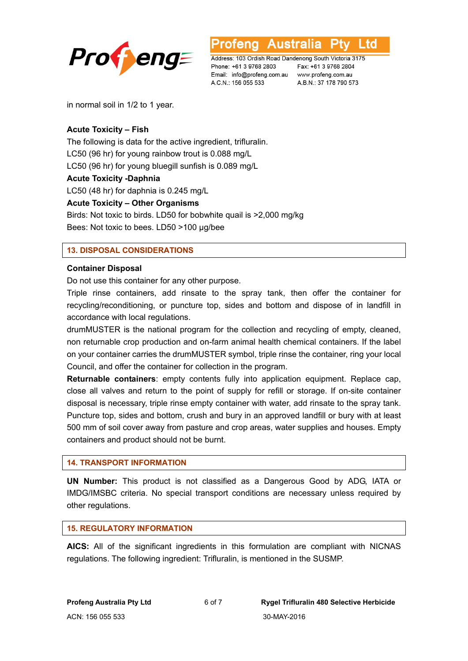



Address: 103 Ordish Road Dandenong South Victoria 3175 Phone: +61 3 9768 2803 Email: info@profeng.com.au www.profeng.com.au A.C.N.: 156 055 533

Fax: +61 3 9768 2804 A.B.N.: 37 178 790 573

in normal soil in 1/2 to 1 year.

# **Acute Toxicity – Fish**

The following is data for the active ingredient, trifluralin. LC50 (96 hr) for young rainbow trout is 0.088 mg/L LC50 (96 hr) for young bluegill sunfish is 0.089 mg/L **Acute Toxicity -Daphnia**  LC50 (48 hr) for daphnia is 0.245 mg/L

# **Acute Toxicity – Other Organisms**

Birds: Not toxic to birds. LD50 for bobwhite quail is >2,000 mg/kg Bees: Not toxic to bees. LD50 >100 µg/bee

# **13. DISPOSAL CONSIDERATIONS**

#### **Container Disposal**

Do not use this container for any other purpose.

Triple rinse containers, add rinsate to the spray tank, then offer the container for recycling/reconditioning, or puncture top, sides and bottom and dispose of in landfill in accordance with local regulations.

drumMUSTER is the national program for the collection and recycling of empty, cleaned, non returnable crop production and on-farm animal health chemical containers. If the label on your container carries the drumMUSTER symbol, triple rinse the container, ring your local Council, and offer the container for collection in the program.

**Returnable containers**: empty contents fully into application equipment. Replace cap, close all valves and return to the point of supply for refill or storage. If on-site container disposal is necessary, triple rinse empty container with water, add rinsate to the spray tank. Puncture top, sides and bottom, crush and bury in an approved landfill or bury with at least 500 mm of soil cover away from pasture and crop areas, water supplies and houses. Empty containers and product should not be burnt.

#### **14. TRANSPORT INFORMATION**

**UN Number:** This product is not classified as a Dangerous Good by ADG, IATA or IMDG/IMSBC criteria. No special transport conditions are necessary unless required by other regulations.

#### **15. REGULATORY INFORMATION**

**AICS:** All of the significant ingredients in this formulation are compliant with NICNAS regulations. The following ingredient: Trifluralin, is mentioned in the SUSMP.